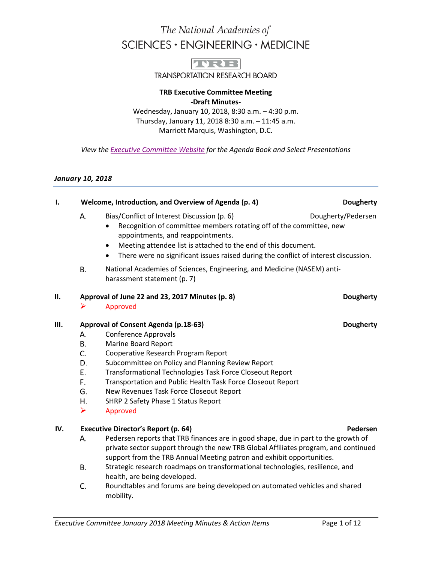# The National Academies of SCIENCES · ENGINEERING · MEDICINE



**TRANSPORTATION RESEARCH BOARD** 

### **TRB Executive Committee Meeting -Draft Minutes-**

Wednesday, January 10, 2018, 8:30 a.m. – 4:30 p.m. Thursday, January 11, 2018 8:30 a.m. – 11:45 a.m. Marriott Marquis, Washington, D.C.

*View th[e Executive Committee Website](http://www.trb.org/Main/TRBExecutiveCommitteeMinutes.aspx) for the Agenda Book and Select Presentations*

### *January 10, 2018*

### **I. COMPA Welcome, Introduction, and Overview of Agenda (p. 4) <b>DEVALUATE:** Dougherty

- А. Bias/Conflict of Interest Discussion (p. 6) Dougherty/Pedersen
	- Recognition of committee members rotating off of the committee, new appointments, and reappointments.
	- Meeting attendee list is attached to the end of this document.
	- There were no significant issues raised during the conflict of interest discussion.
- В. National Academies of Sciences, Engineering, and Medicine (NASEM) antiharassment statement (p. 7)

### **II. Approval of June 22 and 23, 2017 Minutes (p. 8) Dougherty**

### Approved

### **III. Approval of Consent Agenda (p.18-63) Dougherty Dougherty**

- А. Conference Approvals
- **B.** Marine Board Report
- C. Cooperative Research Program Report
- D. Subcommittee on Policy and Planning Review Report
- Е. Transformational Technologies Task Force Closeout Report
- F. Transportation and Public Health Task Force Closeout Report
- New Revenues Task Force Closeout Report G.
- SHRP 2 Safety Phase 1 Status Report Η.
- $\triangleright$  Approved

### **IV. Executive Director's Report (p. 64) Pedersen**

- Pedersen reports that TRB finances are in good shape, due in part to the growth of А. private sector support through the new TRB Global Affiliates program, and continued support from the TRB Annual Meeting patron and exhibit opportunities.
- В. Strategic research roadmaps on transformational technologies, resilience, and health, are being developed.
- C. Roundtables and forums are being developed on automated vehicles and shared mobility.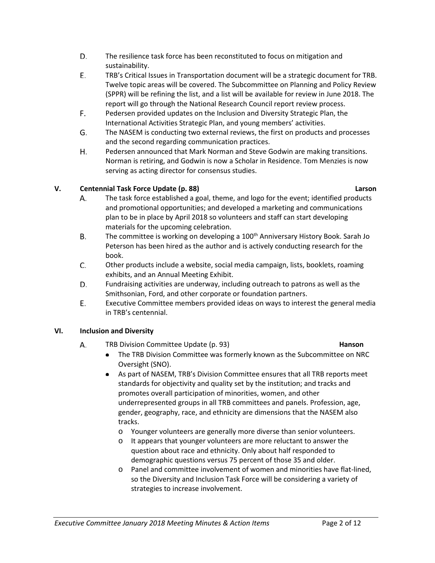- D. The resilience task force has been reconstituted to focus on mitigation and sustainability.
- E. TRB's Critical Issues in Transportation document will be a strategic document for TRB. Twelve topic areas will be covered. The Subcommittee on Planning and Policy Review (SPPR) will be refining the list, and a list will be available for review in June 2018. The report will go through the National Research Council report review process.
- F. Pedersen provided updates on the Inclusion and Diversity Strategic Plan, the International Activities Strategic Plan, and young members' activities.
- G. The NASEM is conducting two external reviews, the first on products and processes and the second regarding communication practices.
- Η. Pedersen announced that Mark Norman and Steve Godwin are making transitions. Norman is retiring, and Godwin is now a Scholar in Residence. Tom Menzies is now serving as acting director for consensus studies.

## **V. Centennial Task Force Update (p. 88) Larson**

А.

- The task force established a goal, theme, and logo for the event; identified products and promotional opportunities; and developed a marketing and communications plan to be in place by April 2018 so volunteers and staff can start developing materials for the upcoming celebration.
- **B.** The committee is working on developing a 100<sup>th</sup> Anniversary History Book. Sarah Jo Peterson has been hired as the author and is actively conducting research for the book.
- C. Other products include a website, social media campaign, lists, booklets, roaming exhibits, and an Annual Meeting Exhibit.
- D. Fundraising activities are underway, including outreach to patrons as well as the Smithsonian, Ford, and other corporate or foundation partners.
- Ε. Executive Committee members provided ideas on ways to interest the general media in TRB's centennial.

## **VI. Inclusion and Diversity**

- TRB Division Committee Update (p. 93) **Hanson** А.
	- The TRB Division Committee was formerly known as the Subcommittee on NRC Oversight (SNO).
	- As part of NASEM, TRB's Division Committee ensures that all TRB reports meet standards for objectivity and quality set by the institution; and tracks and promotes overall participation of minorities, women, and other underrepresented groups in all TRB committees and panels. Profession, age, gender, geography, race, and ethnicity are dimensions that the NASEM also tracks.
		- o Younger volunteers are generally more diverse than senior volunteers.
		- o It appears that younger volunteers are more reluctant to answer the question about race and ethnicity. Only about half responded to demographic questions versus 75 percent of those 35 and older.
		- o Panel and committee involvement of women and minorities have flat-lined, so the Diversity and Inclusion Task Force will be considering a variety of strategies to increase involvement.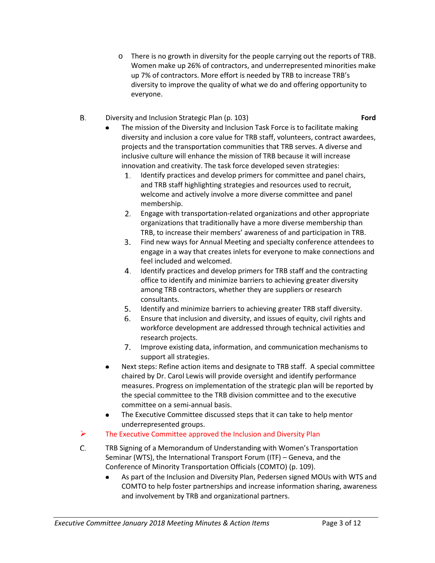- o There is no growth in diversity for the people carrying out the reports of TRB. Women make up 26% of contractors, and underrepresented minorities make up 7% of contractors. More effort is needed by TRB to increase TRB's diversity to improve the quality of what we do and offering opportunity to everyone.
- В. Diversity and Inclusion Strategic Plan (p. 103) **Ford**

- The mission of the Diversity and Inclusion Task Force is to facilitate making diversity and inclusion a core value for TRB staff, volunteers, contract awardees, projects and the transportation communities that TRB serves. A diverse and inclusive culture will enhance the mission of TRB because it will increase innovation and creativity. The task force developed seven strategies:
	- 1. Identify practices and develop primers for committee and panel chairs, and TRB staff highlighting strategies and resources used to recruit, welcome and actively involve a more diverse committee and panel membership.
	- Engage with transportation-related organizations and other appropriate 2. organizations that traditionally have a more diverse membership than TRB, to increase their members' awareness of and participation in TRB.
	- Find new ways for Annual Meeting and specialty conference attendees to engage in a way that creates inlets for everyone to make connections and feel included and welcomed.
	- 4. Identify practices and develop primers for TRB staff and the contracting office to identify and minimize barriers to achieving greater diversity among TRB contractors, whether they are suppliers or research consultants.
	- 5. Identify and minimize barriers to achieving greater TRB staff diversity.
	- 6. Ensure that inclusion and diversity, and issues of equity, civil rights and workforce development are addressed through technical activities and research projects.
	- 7. Improve existing data, information, and communication mechanisms to support all strategies.
- Next steps: Refine action items and designate to TRB staff. A special committee chaired by Dr. Carol Lewis will provide oversight and identify performance measures. Progress on implementation of the strategic plan will be reported by the special committee to the TRB division committee and to the executive committee on a semi-annual basis.
- The Executive Committee discussed steps that it can take to help mentor underrepresented groups.
- $\triangleright$  The Executive Committee approved the Inclusion and Diversity Plan
- C. TRB Signing of a Memorandum of Understanding with Women's Transportation Seminar (WTS), the International Transport Forum (ITF) – Geneva, and the Conference of Minority Transportation Officials (COMTO) (p. 109).
	- As part of the Inclusion and Diversity Plan, Pedersen signed MOUs with WTS and COMTO to help foster partnerships and increase information sharing, awareness and involvement by TRB and organizational partners.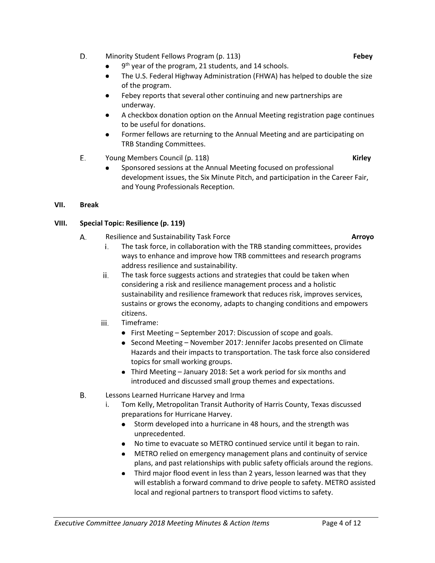- D. Minority Student Fellows Program (p. 113) **Febey**
	- 9<sup>th</sup> year of the program, 21 students, and 14 schools.
	- The U.S. Federal Highway Administration (FHWA) has helped to double the size of the program.
	- Febey reports that several other continuing and new partnerships are underway.
	- A checkbox donation option on the Annual Meeting registration page continues to be useful for donations.
	- Former fellows are returning to the Annual Meeting and are participating on TRB Standing Committees.
- Ε. Young Members Council (p. 118) **Kirley**
	- Sponsored sessions at the Annual Meeting focused on professional development issues, the Six Minute Pitch, and participation in the Career Fair, and Young Professionals Reception.

## **VII. Break**

## **VIII. Special Topic: Resilience (p. 119)**

- А. Resilience and Sustainability Task Force **Arroyo**
	- The task force, in collaboration with the TRB standing committees, provides i. ways to enhance and improve how TRB committees and research programs address resilience and sustainability.
	- The task force suggests actions and strategies that could be taken when ii. considering a risk and resilience management process and a holistic sustainability and resilience framework that reduces risk, improves services, sustains or grows the economy, adapts to changing conditions and empowers citizens.
	- iii. Timeframe:
		- First Meeting September 2017: Discussion of scope and goals.
		- $\bullet$  Second Meeting November 2017: Jennifer Jacobs presented on Climate Hazards and their impacts to transportation. The task force also considered topics for small working groups.
		- Third Meeting January 2018: Set a work period for six months and introduced and discussed small group themes and expectations.
- В. Lessons Learned Hurricane Harvey and Irma
	- i. Tom Kelly, Metropolitan Transit Authority of Harris County, Texas discussed preparations for Hurricane Harvey.
		- Storm developed into a hurricane in 48 hours, and the strength was unprecedented.
		- No time to evacuate so METRO continued service until it began to rain.
		- METRO relied on emergency management plans and continuity of service  $\bullet$ plans, and past relationships with public safety officials around the regions.
		- Third major flood event in less than 2 years, lesson learned was that they will establish a forward command to drive people to safety. METRO assisted local and regional partners to transport flood victims to safety.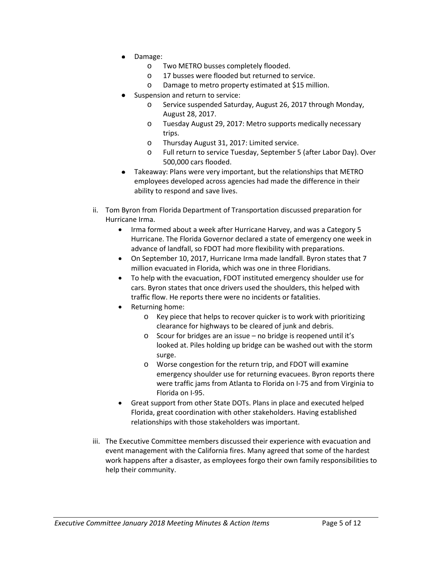- Damage:
	- o Two METRO busses completely flooded.
	- o 17 busses were flooded but returned to service.
	- o Damage to metro property estimated at \$15 million.
- Suspension and return to service:
	- o Service suspended Saturday, August 26, 2017 through Monday, August 28, 2017.
	- o Tuesday August 29, 2017: Metro supports medically necessary trips.
	- o Thursday August 31, 2017: Limited service.
	- o Full return to service Tuesday, September 5 (after Labor Day). Over 500,000 cars flooded.
- Takeaway: Plans were very important, but the relationships that METRO employees developed across agencies had made the difference in their ability to respond and save lives.
- ii. Tom Byron from Florida Department of Transportation discussed preparation for Hurricane Irma.
	- Irma formed about a week after Hurricane Harvey, and was a Category 5 Hurricane. The Florida Governor declared a state of emergency one week in advance of landfall, so FDOT had more flexibility with preparations.
	- On September 10, 2017, Hurricane Irma made landfall. Byron states that 7 million evacuated in Florida, which was one in three Floridians.
	- To help with the evacuation, FDOT instituted emergency shoulder use for cars. Byron states that once drivers used the shoulders, this helped with traffic flow. He reports there were no incidents or fatalities.
	- Returning home:
		- o Key piece that helps to recover quicker is to work with prioritizing clearance for highways to be cleared of junk and debris.
		- o Scour for bridges are an issue no bridge is reopened until it's looked at. Piles holding up bridge can be washed out with the storm surge.
		- o Worse congestion for the return trip, and FDOT will examine emergency shoulder use for returning evacuees. Byron reports there were traffic jams from Atlanta to Florida on I-75 and from Virginia to Florida on I-95.
	- Great support from other State DOTs. Plans in place and executed helped Florida, great coordination with other stakeholders. Having established relationships with those stakeholders was important.
- iii. The Executive Committee members discussed their experience with evacuation and event management with the California fires. Many agreed that some of the hardest work happens after a disaster, as employees forgo their own family responsibilities to help their community.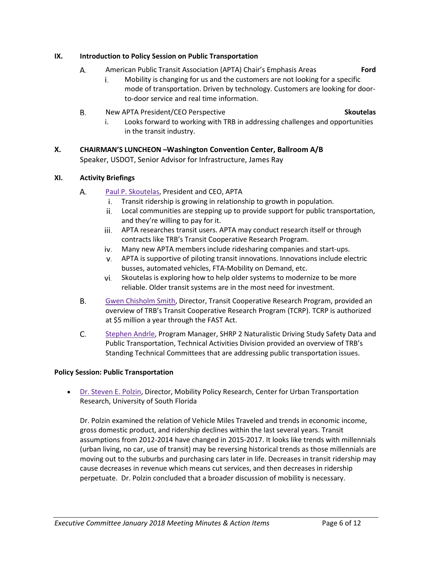### **IX. Introduction to Policy Session on Public Transportation**

- А. American Public Transit Association (APTA) Chair's Emphasis Areas **Ford**
	- Mobility is changing for us and the customers are not looking for a specific i. mode of transportation. Driven by technology. Customers are looking for doorto-door service and real time information.
- Β. New APTA President/CEO Perspective **Skoutelas**

i. Looks forward to working with TRB in addressing challenges and opportunities in the transit industry.

### **X. CHAIRMAN'S LUNCHEON –Washington Convention Center, Ballroom A/B** Speaker, USDOT, Senior Advisor for Infrastructure, James Ray

### **XI. Activity Briefings**

- A. [Paul P. Skoutelas,](http://onlinepubs.trb.org/onlinepubs/excomm/18-01-Skoutelas.pdf) President and CEO, APTA
	- i. Transit ridership is growing in relationship to growth in population.
	- ii. Local communities are stepping up to provide support for public transportation, and they're willing to pay for it.
	- iii. APTA researches transit users. APTA may conduct research itself or through contracts like TRB's Transit Cooperative Research Program.
	- Many new APTA members include ridesharing companies and start-ups.
	- APTA is supportive of piloting transit innovations. Innovations include electric busses, automated vehicles, FTA-Mobility on Demand, etc.
	- vi. Skoutelas is exploring how to help older systems to modernize to be more reliable. Older transit systems are in the most need for investment.
- Β. [Gwen Chisholm Smith,](http://onlinepubs.trb.org/onlinepubs/excomm/18-01-Chisholm-Smith.pdf) Director, Transit Cooperative Research Program, provided an overview of TRB's Transit Cooperative Research Program (TCRP). TCRP is authorized at \$5 million a year through the FAST Act.
- C. [Stephen Andrle,](http://onlinepubs.trb.org/onlinepubs/excomm/18-01-Andrle.pdf) Program Manager, SHRP 2 Naturalistic Driving Study Safety Data and Public Transportation, Technical Activities Division provided an overview of TRB's Standing Technical Committees that are addressing public transportation issues.

### **Policy Session: Public Transportation**

• [Dr. Steven E. Polzin,](http://onlinepubs.trb.org/onlinepubs/excomm/18-01-Polzin.pdf) Director, Mobility Policy Research, Center for Urban Transportation Research, University of South Florida

Dr. Polzin examined the relation of Vehicle Miles Traveled and trends in economic income, gross domestic product, and ridership declines within the last several years. Transit assumptions from 2012-2014 have changed in 2015-2017. It looks like trends with millennials (urban living, no car, use of transit) may be reversing historical trends as those millennials are moving out to the suburbs and purchasing cars later in life. Decreases in transit ridership may cause decreases in revenue which means cut services, and then decreases in ridership perpetuate. Dr. Polzin concluded that a broader discussion of mobility is necessary.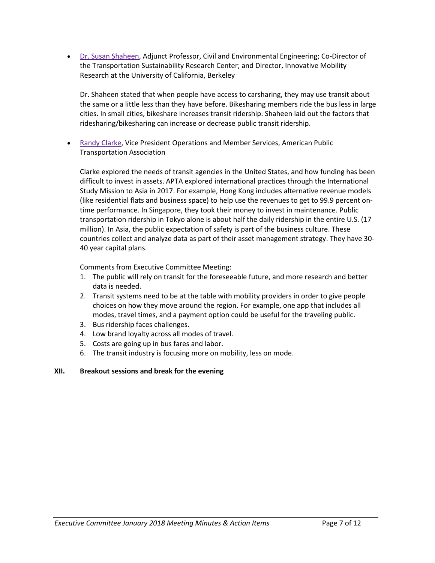• [Dr. Susan Shaheen,](http://onlinepubs.trb.org/onlinepubs/excomm/18-01-Shaheen.pdf) Adjunct Professor, Civil and Environmental Engineering; Co-Director of the Transportation Sustainability Research Center; and Director, Innovative Mobility Research at the University of California, Berkeley

Dr. Shaheen stated that when people have access to carsharing, they may use transit about the same or a little less than they have before. Bikesharing members ride the bus less in large cities. In small cities, bikeshare increases transit ridership. Shaheen laid out the factors that ridesharing/bikesharing can increase or decrease public transit ridership.

• [Randy Clarke,](http://onlinepubs.trb.org/onlinepubs/excomm/18-01-Clark.pdf) Vice President Operations and Member Services, American Public Transportation Association

Clarke explored the needs of transit agencies in the United States, and how funding has been difficult to invest in assets. APTA explored international practices through the International Study Mission to Asia in 2017. For example, Hong Kong includes alternative revenue models (like residential flats and business space) to help use the revenues to get to 99.9 percent ontime performance. In Singapore, they took their money to invest in maintenance. Public transportation ridership in Tokyo alone is about half the daily ridership in the entire U.S. (17 million). In Asia, the public expectation of safety is part of the business culture. These countries collect and analyze data as part of their asset management strategy. They have 30- 40 year capital plans.

Comments from Executive Committee Meeting:

- 1. The public will rely on transit for the foreseeable future, and more research and better data is needed.
- 2. Transit systems need to be at the table with mobility providers in order to give people choices on how they move around the region. For example, one app that includes all modes, travel times, and a payment option could be useful for the traveling public.
- 3. Bus ridership faces challenges.
- 4. Low brand loyalty across all modes of travel.
- 5. Costs are going up in bus fares and labor.
- 6. The transit industry is focusing more on mobility, less on mode.

### **XII. Breakout sessions and break for the evening**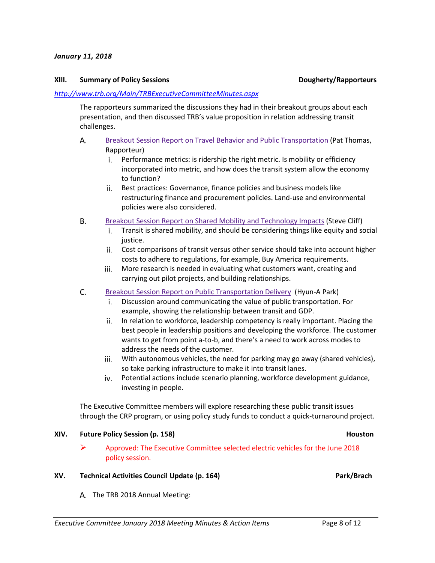### **XIII. Summary of Policy Sessions Dougherty/Rapporteurs**

### *<http://www.trb.org/Main/TRBExecutiveCommitteeMinutes.aspx>*

The rapporteurs summarized the discussions they had in their breakout groups about each presentation, and then discussed TRB's value proposition in relation addressing transit challenges.

### А. [Breakout Session Report on Travel Behavior and Public Transportation \(](http://onlinepubs.trb.org/onlinepubs/ExComm/18-01-Thomas.pdf)Pat Thomas, Rapporteur)

- i. Performance metrics: is ridership the right metric. Is mobility or efficiency incorporated into metric, and how does the transit system allow the economy to function?
- ii. Best practices: Governance, finance policies and business models like restructuring finance and procurement policies. Land-use and environmental policies were also considered.
- В. [Breakout Session Report on Shared Mobility and Technology Impacts](http://onlinepubs.trb.org/onlinepubs/ExComm/18-01-Cliff.pdf) (Steve Cliff)
	- Transit is shared mobility, and should be considering things like equity and social i. justice.
	- ii. Cost comparisons of transit versus other service should take into account higher costs to adhere to regulations, for example, Buy America requirements.
	- More research is needed in evaluating what customers want, creating and iii. carrying out pilot projects, and building relationships.
- C. [Breakout Session Report on Public Transportation Delivery](http://onlinepubs.trb.org/onlinepubs/ExComm/18-01-Park.pdf) (Hyun-A Park)
	- Discussion around communicating the value of public transportation. For example, showing the relationship between transit and GDP.
	- ii. In relation to workforce, leadership competency is really important. Placing the best people in leadership positions and developing the workforce. The customer wants to get from point a-to-b, and there's a need to work across modes to address the needs of the customer.
	- iii. With autonomous vehicles, the need for parking may go away (shared vehicles), so take parking infrastructure to make it into transit lanes.
	- iv. Potential actions include scenario planning, workforce development guidance, investing in people.

The Executive Committee members will explore researching these public transit issues through the CRP program, or using policy study funds to conduct a quick-turnaround project.

### **XIV. Future Policy Session (p. 158) Houston**

 $\triangleright$  Approved: The Executive Committee selected electric vehicles for the June 2018 policy session.

### **XV. Technical Activities Council Update (p. 164) Park Activities Council Update** (p. 164)

A. The TRB 2018 Annual Meeting: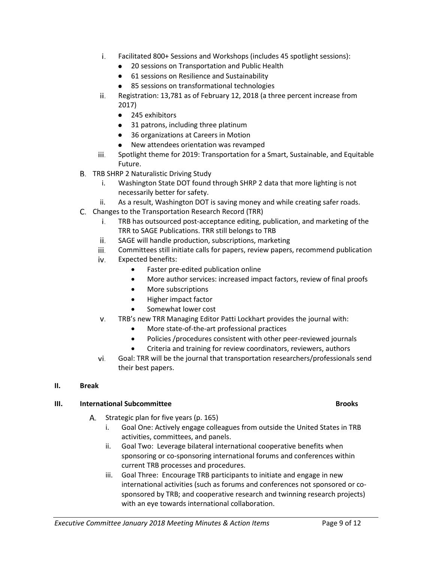- Facilitated 800+ Sessions and Workshops (includes 45 spotlight sessions):
	- 20 sessions on Transportation and Public Health
	- **61 sessions on Resilience and Sustainability**
	- 85 sessions on transformational technologies  $\bullet$
- Registration: 13,781 as of February 12, 2018 (a three percent increase from ii. 2017)
	- 245 exhibitors
	- 31 patrons, including three platinum
	- 36 organizations at Careers in Motion
	- New attendees orientation was revamped
- Spotlight theme for 2019: Transportation for a Smart, Sustainable, and Equitable iii. Future.
- B. TRB SHRP 2 Naturalistic Driving Study
	- i. Washington State DOT found through SHRP 2 data that more lighting is not necessarily better for safety.
	- ii. As a result, Washington DOT is saving money and while creating safer roads.
- C. Changes to the Transportation Research Record (TRR)
	- i. TRB has outsourced post-acceptance editing, publication, and marketing of the TRR to SAGE Publications. TRR still belongs to TRB
	- ii. SAGE will handle production, subscriptions, marketing
	- iii. Committees still initiate calls for papers, review papers, recommend publication
	- Expected benefits: iv.
		- Faster pre-edited publication online
		- More author services: increased impact factors, review of final proofs
		- More subscriptions
		- Higher impact factor
		- Somewhat lower cost
	- TRB's new TRR Managing Editor Patti Lockhart provides the journal with: v.
		- More state-of-the-art professional practices
			- Policies /procedures consistent with other peer-reviewed journals
			- Criteria and training for review coordinators, reviewers, authors
	- vi. Goal: TRR will be the journal that transportation researchers/professionals send their best papers.

### **II. Break**

### **III. International Subcommittee Brooks**

- А. Strategic plan for five years (p. 165)
	- i. Goal One: Actively engage colleagues from outside the United States in TRB activities, committees, and panels.
	- ii. Goal Two: Leverage bilateral international cooperative benefits when sponsoring or co-sponsoring international forums and conferences within current TRB processes and procedures.
	- iii. Goal Three: Encourage TRB participants to initiate and engage in new international activities (such as forums and conferences not sponsored or cosponsored by TRB; and cooperative research and twinning research projects) with an eye towards international collaboration.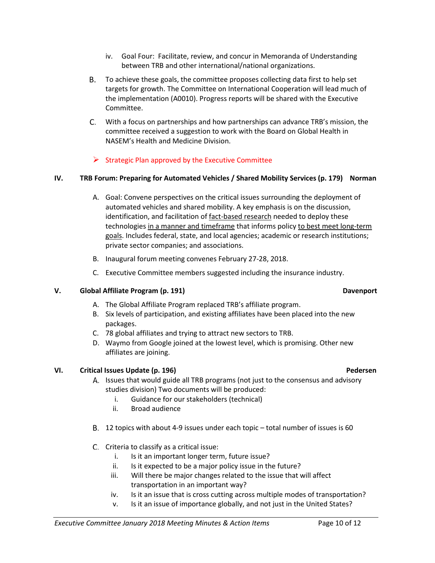- iv. Goal Four: Facilitate, review, and concur in Memoranda of Understanding between TRB and other international/national organizations.
- To achieve these goals, the committee proposes collecting data first to help set targets for growth. The Committee on International Cooperation will lead much of the implementation (A0010). Progress reports will be shared with the Executive Committee.
- With a focus on partnerships and how partnerships can advance TRB's mission, the committee received a suggestion to work with the Board on Global Health in NASEM's Health and Medicine Division.

## $\triangleright$  Strategic Plan approved by the Executive Committee

### **IV. TRB Forum: Preparing for Automated Vehicles / Shared Mobility Services (p. 179) Norman**

- A. Goal: Convene perspectives on the critical issues surrounding the deployment of automated vehicles and shared mobility. A key emphasis is on the discussion, identification, and facilitation of fact-based research needed to deploy these technologies in a manner and timeframe that informs policy to best meet long-term goals. Includes federal, state, and local agencies; academic or research institutions; private sector companies; and associations.
- B. Inaugural forum meeting convenes February 27-28, 2018.
- C. Executive Committee members suggested including the insurance industry.

### **V. Global Affiliate Program (p. 191) Davenport**

- A. The Global Affiliate Program replaced TRB's affiliate program.
- B. Six levels of participation, and existing affiliates have been placed into the new packages.
- C. 78 global affiliates and trying to attract new sectors to TRB.
- D. Waymo from Google joined at the lowest level, which is promising. Other new affiliates are joining.

### **VI. Critical Issues Update (p. 196) Pedersen**

- A. Issues that would guide all TRB programs (not just to the consensus and advisory studies division) Two documents will be produced:
	- i. Guidance for our stakeholders (technical)
	- ii. Broad audience
- 12 topics with about 4-9 issues under each topic total number of issues is 60
- C. Criteria to classify as a critical issue:
	- i. Is it an important longer term, future issue?
	- ii. Is it expected to be a major policy issue in the future?
	- iii. Will there be major changes related to the issue that will affect transportation in an important way?
	- iv. Is it an issue that is cross cutting across multiple modes of transportation?
	- v. Is it an issue of importance globally, and not just in the United States?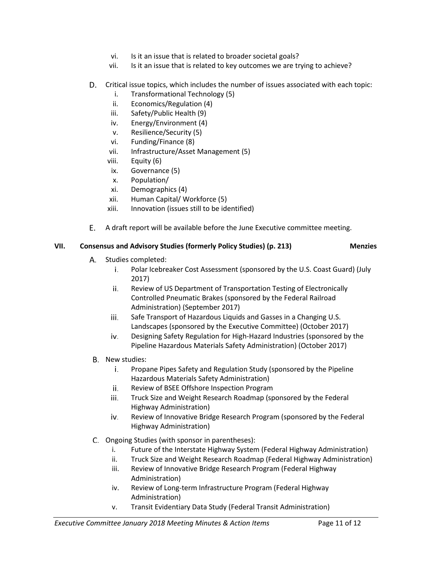- vi. Is it an issue that is related to broader societal goals?
- vii. Is it an issue that is related to key outcomes we are trying to achieve?

## D. Critical issue topics, which includes the number of issues associated with each topic:

- i. Transformational Technology (5)
- ii. Economics/Regulation (4)
- iii. Safety/Public Health (9)
- iv. Energy/Environment (4)
- v. Resilience/Security (5)
- vi. Funding/Finance (8)
- vii. Infrastructure/Asset Management (5)
- viii. Equity (6)
- ix. Governance (5)
- x. Population/
- xi. Demographics (4)
- xii. Human Capital/ Workforce (5)
- xiii. Innovation (issues still to be identified)
- E. A draft report will be available before the June Executive committee meeting.

### **VII. Consensus and Advisory Studies (formerly Policy Studies) (p. 213) Menzies**

- А. Studies completed:
	- i. Polar Icebreaker Cost Assessment (sponsored by the U.S. Coast Guard) (July 2017)
	- ii. Review of US Department of Transportation Testing of Electronically Controlled Pneumatic Brakes (sponsored by the Federal Railroad Administration) (September 2017)
	- Safe Transport of Hazardous Liquids and Gasses in a Changing U.S. iii. Landscapes (sponsored by the Executive Committee) (October 2017)
	- iv. Designing Safety Regulation for High-Hazard Industries (sponsored by the Pipeline Hazardous Materials Safety Administration) (October 2017)
- B. New studies:
	- i. Propane Pipes Safety and Regulation Study (sponsored by the Pipeline Hazardous Materials Safety Administration)
	- ii. Review of BSEE Offshore Inspection Program
	- iii. Truck Size and Weight Research Roadmap (sponsored by the Federal Highway Administration)
	- iv. Review of Innovative Bridge Research Program (sponsored by the Federal Highway Administration)
- C. Ongoing Studies (with sponsor in parentheses):
	- i. Future of the Interstate Highway System (Federal Highway Administration)
	- ii. Truck Size and Weight Research Roadmap (Federal Highway Administration)
	- iii. Review of Innovative Bridge Research Program (Federal Highway Administration)
	- iv. Review of Long-term Infrastructure Program (Federal Highway Administration)
	- v. Transit Evidentiary Data Study (Federal Transit Administration)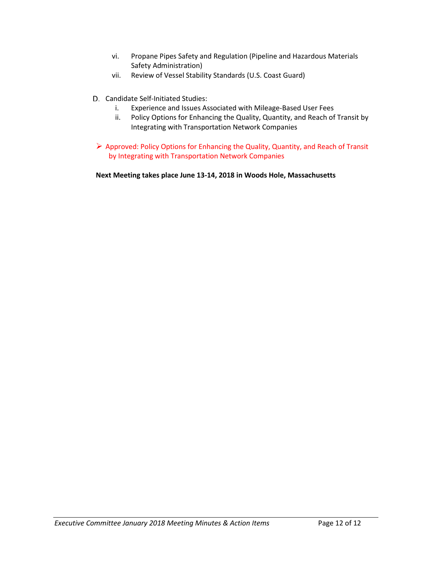- vi. Propane Pipes Safety and Regulation (Pipeline and Hazardous Materials Safety Administration)
- vii. Review of Vessel Stability Standards (U.S. Coast Guard)
- D. Candidate Self-Initiated Studies:
	- i. Experience and Issues Associated with Mileage-Based User Fees
	- ii. Policy Options for Enhancing the Quality, Quantity, and Reach of Transit by Integrating with Transportation Network Companies
- $\triangleright$  Approved: Policy Options for Enhancing the Quality, Quantity, and Reach of Transit by Integrating with Transportation Network Companies

**Next Meeting takes place June 13-14, 2018 in Woods Hole, Massachusetts**